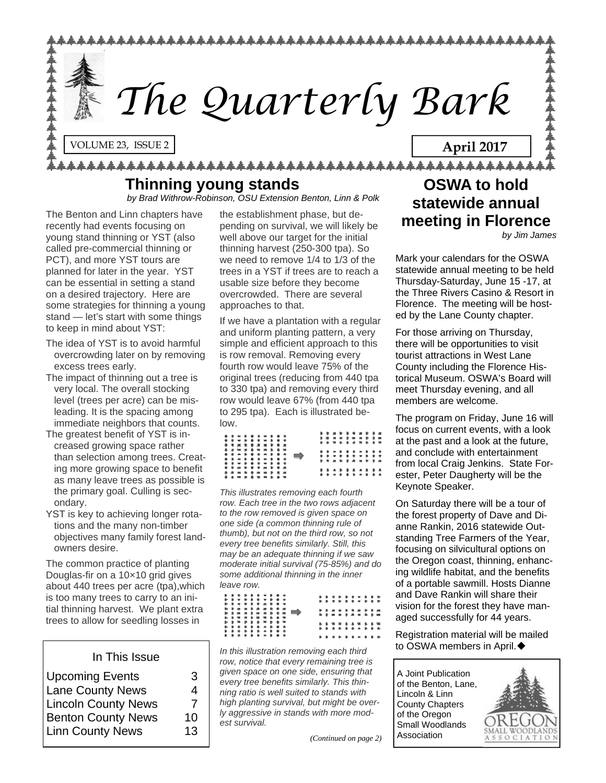

# **Thinning young stands**

*by Brad Withrow-Robinson, OSU Extension Benton, Linn & Polk* 

The Benton and Linn chapters have recently had events focusing on young stand thinning or YST (also called pre-commercial thinning or PCT), and more YST tours are planned for later in the year. YST can be essential in setting a stand on a desired trajectory. Here are some strategies for thinning a young stand — let's start with some things to keep in mind about YST:

- The idea of YST is to avoid harmful overcrowding later on by removing excess trees early.
- The impact of thinning out a tree is very local. The overall stocking level (trees per acre) can be misleading. It is the spacing among immediate neighbors that counts.
- The greatest benefit of YST is increased growing space rather than selection among trees. Creating more growing space to benefit as many leave trees as possible is the primary goal. Culling is secondary.
- YST is key to achieving longer rotations and the many non-timber objectives many family forest landowners desire.

The common practice of planting Douglas-fir on a 10×10 grid gives about 440 trees per acre (tpa),which is too many trees to carry to an initial thinning harvest. We plant extra trees to allow for seedling losses in

### In This Issue

| <b>Upcoming Events</b>     | 3  |
|----------------------------|----|
| <b>Lane County News</b>    | 4  |
| <b>Lincoln County News</b> | 7  |
| <b>Benton County News</b>  | 10 |
| <b>Linn County News</b>    | 13 |
|                            |    |

the establishment phase, but depending on survival, we will likely be well above our target for the initial thinning harvest (250-300 tpa). So we need to remove 1/4 to 1/3 of the trees in a YST if trees are to reach a usable size before they become overcrowded. There are several approaches to that.

If we have a plantation with a regular and uniform planting pattern, a very simple and efficient approach to this is row removal. Removing every fourth row would leave 75% of the original trees (reducing from 440 tpa to 330 tpa) and removing every third row would leave 67% (from 440 tpa to 295 tpa). Each is illustrated below.

|                     |  |  |                     |  |               |  | .                |  |  |  |  |
|---------------------|--|--|---------------------|--|---------------|--|------------------|--|--|--|--|
| .                   |  |  |                     |  |               |  | <b>.</b>         |  |  |  |  |
| <b></b>             |  |  |                     |  |               |  |                  |  |  |  |  |
| <b></b>             |  |  |                     |  |               |  | .                |  |  |  |  |
|                     |  |  |                     |  |               |  |                  |  |  |  |  |
| * * * * * * * * * * |  |  |                     |  |               |  |                  |  |  |  |  |
| .                   |  |  |                     |  |               |  | .                |  |  |  |  |
|                     |  |  |                     |  | $\Rightarrow$ |  | .                |  |  |  |  |
| . <i>.</i>          |  |  |                     |  |               |  | . . <i>. . .</i> |  |  |  |  |
| .                   |  |  |                     |  |               |  |                  |  |  |  |  |
|                     |  |  |                     |  |               |  |                  |  |  |  |  |
|                     |  |  | * * * * * * * * * * |  |               |  | .                |  |  |  |  |
| <b></b>             |  |  |                     |  |               |  |                  |  |  |  |  |
|                     |  |  |                     |  |               |  | .                |  |  |  |  |
| <b></b>             |  |  |                     |  |               |  |                  |  |  |  |  |

*This illustrates removing each fourth row. Each tree in the two rows adjacent to the row removed is given space on one side (a common thinning rule of thumb), but not on the third row, so not every tree benefits similarly. Still, this may be an adequate thinning if we saw moderate initial survival (75-85%) and do some additional thinning in the inner leave row.*

|  |  |  | .<br>.<br>. <i>.</i>           |  |  |  |  |  |  | , , , , , , , , , ,<br>. |  |
|--|--|--|--------------------------------|--|--|--|--|--|--|--------------------------|--|
|  |  |  | . . <i>. . . .</i><br><b>.</b> |  |  |  |  |  |  | . <i>.</i><br><b></b>    |  |
|  |  |  | .<br>.<br>.                    |  |  |  |  |  |  | . <b>.</b><br>.          |  |
|  |  |  | .                              |  |  |  |  |  |  | .                        |  |

*In this illustration removing each third row, notice that every remaining tree is given space on one side, ensuring that every tree benefits similarly. This thinning ratio is well suited to stands with high planting survival, but might be overly aggressive in stands with more modest survival.*

*(Continued on page 2)* 

# **OSWA to hold statewide annual meeting in Florence**

*by Jim James* 

Mark your calendars for the OSWA statewide annual meeting to be held Thursday-Saturday, June 15 -17, at the Three Rivers Casino & Resort in Florence. The meeting will be hosted by the Lane County chapter.

For those arriving on Thursday, there will be opportunities to visit tourist attractions in West Lane County including the Florence Historical Museum. OSWA's Board will meet Thursday evening, and all members are welcome.

The program on Friday, June 16 will focus on current events, with a look at the past and a look at the future, and conclude with entertainment from local Craig Jenkins. State Forester, Peter Daugherty will be the Keynote Speaker.

On Saturday there will be a tour of the forest property of Dave and Dianne Rankin, 2016 statewide Outstanding Tree Farmers of the Year, focusing on silvicultural options on the Oregon coast, thinning, enhancing wildlife habitat, and the benefits of a portable sawmill. Hosts Dianne and Dave Rankin will share their vision for the forest they have managed successfully for 44 years.

Registration material will be mailed to OSWA members in April. ♦

A Joint Publication of the Benton, Lane, Lincoln & Linn County Chapters of the Oregon Small Woodlands Association

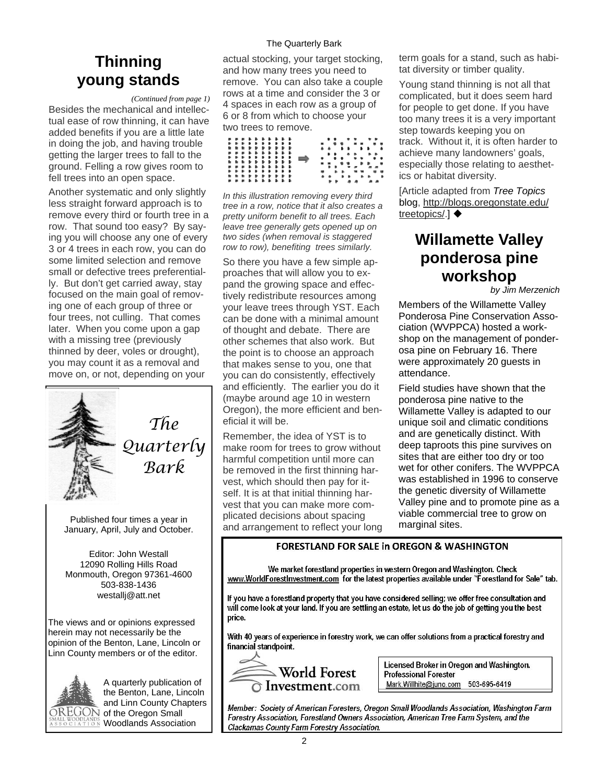# **Thinning young stands**

*(Continued from page 1)* 

Besides the mechanical and intellectual ease of row thinning, it can have added benefits if you are a little late in doing the job, and having trouble getting the larger trees to fall to the ground. Felling a row gives room to fell trees into an open space.

Another systematic and only slightly less straight forward approach is to remove every third or fourth tree in a row. That sound too easy? By saying you will choose any one of every 3 or 4 trees in each row, you can do some limited selection and remove small or defective trees preferentially. But don't get carried away, stay focused on the main goal of removing one of each group of three or four trees, not culling. That comes later. When you come upon a gap with a missing tree (previously thinned by deer, voles or drought), you may count it as a removal and move on, or not, depending on your



*Quarterly Bark* 

Published four times a year in January, April, July and October.

Editor: John Westall 12090 Rolling Hills Road Monmouth, Oregon 97361-4600 503-838-1436 westallj@att.net

The views and or opinions expressed herein may not necessarily be the opinion of the Benton, Lane, Lincoln or Linn County members or of the editor.



A quarterly publication of the Benton, Lane, Lincoln and Linn County Chapters  $\overline{\mathrm{DREGON}}$  of the Oregon Small Woodlands Association

### The Quarterly Bark

actual stocking, your target stocking, and how many trees you need to remove. You can also take a couple rows at a time and consider the 3 or 4 spaces in each row as a group of 6 or 8 from which to choose your two trees to remove.

|  |  | .<br>.<br>.<br>. |  |  |  |  |  |  | <br>.<br>.      |  |
|--|--|------------------|--|--|--|--|--|--|-----------------|--|
|  |  | .<br>.<br>.      |  |  |  |  |  |  | <br>.<br>.<br>. |  |
|  |  | .<br>.<br>.      |  |  |  |  |  |  | .<br>.          |  |

*In this illustration removing every third tree in a row, notice that it also creates a pretty uniform benefit to all trees. Each leave tree generally gets opened up on two sides (when removal is staggered row to row), benefiting trees similarly.*

So there you have a few simple approaches that will allow you to expand the growing space and effectively redistribute resources among your leave trees through YST. Each can be done with a minimal amount of thought and debate. There are other schemes that also work. But the point is to choose an approach that makes sense to you, one that you can do consistently, effectively and efficiently. The earlier you do it (maybe around age 10 in western Oregon), the more efficient and beneficial it will be.

Remember, the idea of YST is to make room for trees to grow without harmful competition until more can be removed in the first thinning harvest, which should then pay for itself. It is at that initial thinning harvest that you can make more complicated decisions about spacing and arrangement to reflect your long

term goals for a stand, such as habitat diversity or timber quality.

Young stand thinning is not all that complicated, but it does seem hard for people to get done. If you have too many trees it is a very important step towards keeping you on track. Without it, it is often harder to achieve many landowners' goals, especially those relating to aesthetics or habitat diversity.

[Article adapted from *Tree Topics*  blog, [http://blogs.oregonstate.edu/](http://blogs.oregonstate.edu/treetopics/) [treetopics/](http://blogs.oregonstate.edu/treetopics/).] ♦

# **Willamette Valley ponderosa pine workshop**

*by Jim Merzenich* 

Members of the Willamette Valley Ponderosa Pine Conservation Association (WVPPCA) hosted a workshop on the management of ponderosa pine on February 16. There were approximately 20 guests in attendance.

Field studies have shown that the ponderosa pine native to the Willamette Valley is adapted to our unique soil and climatic conditions and are genetically distinct. With deep taproots this pine survives on sites that are either too dry or too wet for other conifers. The WVPPCA was established in 1996 to conserve the genetic diversity of Willamette Valley pine and to promote pine as a viable commercial tree to grow on marginal sites.

### **FORESTLAND FOR SALE in OREGON & WASHINGTON**

We market forestland properties in western Oregon and Washington, Check www.WorldForestInvestment.com for the latest properties available under "Forestland for Sale" tab.

If you have a forestland property that you have considered selling; we offer free consultation and will come look at your land. If you are settling an estate, let us do the job of getting you the best price.

With 40 years of experience in forestry work, we can offer solutions from a practical forestry and financial standpoint.



Licensed Broker in Oregon and Washington. **Professional Forester** Mark.Willhite@juno.com 503-695-6419

Member: Society of American Foresters, Oregon Small Woodlands Association, Washington Farm Forestry Association, Forestland Owners Association, American Tree Farm System, and the Clackamas County Farm Forestry Association.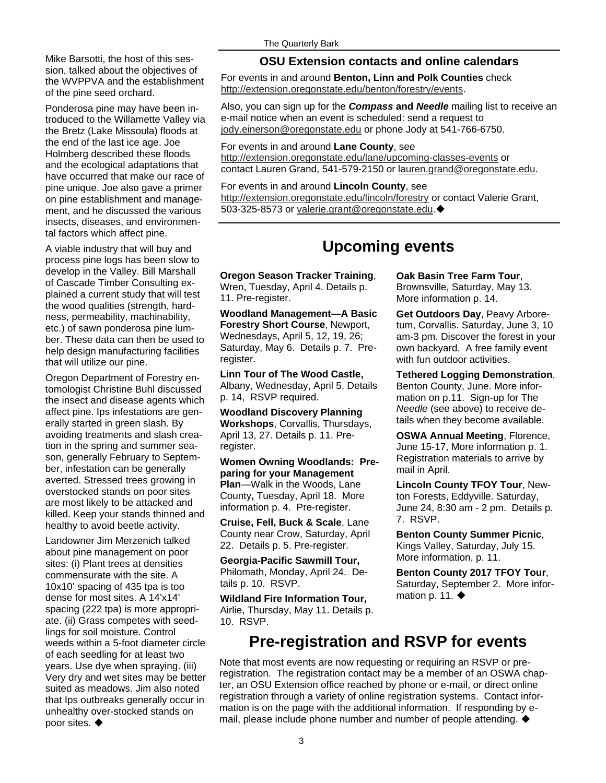Mike Barsotti, the host of this session, talked about the objectives of the WVPPVA and the establishment of the pine seed orchard.

Ponderosa pine may have been introduced to the Willamette Valley via the Bretz (Lake Missoula) floods at the end of the last ice age. Joe Holmberg described these floods and the ecological adaptations that have occurred that make our race of pine unique. Joe also gave a primer on pine establishment and management, and he discussed the various insects, diseases, and environmental factors which affect pine.

A viable industry that will buy and process pine logs has been slow to develop in the Valley. Bill Marshall of Cascade Timber Consulting explained a current study that will test the wood qualities (strength, hardness, permeability, machinability, etc.) of sawn ponderosa pine lumber. These data can then be used to help design manufacturing facilities that will utilize our pine.

Oregon Department of Forestry entomologist Christine Buhl discussed the insect and disease agents which affect pine. Ips infestations are generally started in green slash. By avoiding treatments and slash creation in the spring and summer season, generally February to September, infestation can be generally averted. Stressed trees growing in overstocked stands on poor sites are most likely to be attacked and killed. Keep your stands thinned and healthy to avoid beetle activity.

Landowner Jim Merzenich talked about pine management on poor sites: (i) Plant trees at densities commensurate with the site. A 10x10' spacing of 435 tpa is too dense for most sites. A 14'x14' spacing (222 tpa) is more appropriate. (ii) Grass competes with seedlings for soil moisture. Control weeds within a 5-foot diameter circle of each seedling for at least two years. Use dye when spraying. (iii) Very dry and wet sites may be better suited as meadows. Jim also noted that Ips outbreaks generally occur in unhealthy over-stocked stands on poor sites.  $\blacklozenge$ 

### **OSU Extension contacts and online calendars**

For events in and around **Benton, Linn and Polk Counties** check [http://extension.oregonstate.edu/benton/forestry/events.](http://extension.oregonstate.edu/benton/forestry/events)

Also, you can sign up for the *Compass* **and** *Needle* mailing list to receive an e-mail notice when an event is scheduled: send a request to [jody.einerson@oregonstate.edu](mailto:jody.einerson@oregonstate.edu) or phone Jody at 541-766-6750.

For events in and around **Lane County**, see

<http://extension.oregonstate.edu/lane/upcoming-classes-events> or contact Lauren Grand, 541-579-2150 or [lauren.grand@oregonstate.edu](mailto:lauren.grand@oregonstate.edu).

For events in and around **Lincoln County**, see <http://extension.oregonstate.edu/lincoln/forestry>or contact Valerie Grant, 503-325-8573 or [valerie.grant@oregonstate.edu](mailto:valerie.grant@oregonstate.edu).

## **Upcoming events**

**Oregon Season Tracker Training**, Wren, Tuesday, April 4. Details p. 11. Pre-register.

**Woodland Management—A Basic Forestry Short Course**, Newport, Wednesdays, April 5, 12, 19, 26; Saturday, May 6. Details p. 7. Preregister.

**Linn Tour of The Wood Castle,**  Albany, Wednesday, April 5, Details p. 14, RSVP required.

**Woodland Discovery Planning Workshops**, Corvallis, Thursdays, April 13, 27. Details p. 11. Preregister.

**Women Owning Woodlands: Preparing for your Management Plan**—Walk in the Woods, Lane County**,** Tuesday, April 18. More information p. 4. Pre-register.

**Cruise, Fell, Buck & Scale**, Lane County near Crow, Saturday, April 22. Details p. 5. Pre-register.

**Georgia-Pacific Sawmill Tour,**  Philomath, Monday, April 24. Details p. 10. RSVP.

**Wildland Fire Information Tour,**  Airlie, Thursday, May 11. Details p. 10. RSVP.

**Oak Basin Tree Farm Tour**, Brownsville, Saturday, May 13. More information p. 14.

**Get Outdoors Day**, Peavy Arboretum, Corvallis. Saturday, June 3, 10 am-3 pm. Discover the forest in your own backyard. A free family event with fun outdoor activities.

**Tethered Logging Demonstration**, Benton County, June. More information on p.11. Sign-up for The *Needle* (see above) to receive details when they become available.

**OSWA Annual Meeting**, Florence, June 15-17, More information p. 1. Registration materials to arrive by mail in April.

**Lincoln County TFOY Tour**, Newton Forests, Eddyville. Saturday, June 24, 8:30 am - 2 pm. Details p. 7. RSVP.

**Benton County Summer Picnic**, Kings Valley, Saturday, July 15. More information, p. 11.

**Benton County 2017 TFOY Tour**, Saturday, September 2. More information p. 11.  $\blacklozenge$ 

### **Pre-registration and RSVP for events**

Note that most events are now requesting or requiring an RSVP or preregistration. The registration contact may be a member of an OSWA chapter, an OSU Extension office reached by phone or e-mail, or direct online registration through a variety of online registration systems. Contact information is on the page with the additional information. If responding by email, please include phone number and number of people attending.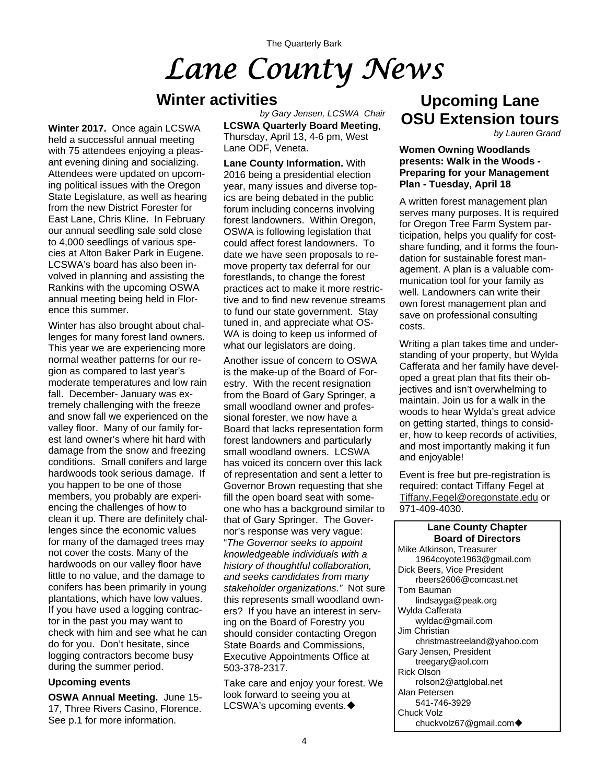# *Lane County News*

## **Winter activities**

**Winter 2017.** Once again LCSWA held a successful annual meeting with 75 attendees enjoying a pleasant evening dining and socializing. Attendees were updated on upcoming political issues with the Oregon State Legislature, as well as hearing from the new District Forester for East Lane, Chris Kline. In February our annual seedling sale sold close to 4,000 seedlings of various species at Alton Baker Park in Eugene. LCSWA's board has also been involved in planning and assisting the Rankins with the upcoming OSWA annual meeting being held in Florence this summer.

Winter has also brought about challenges for many forest land owners. This year we are experiencing more normal weather patterns for our region as compared to last year's moderate temperatures and low rain fall. December- January was extremely challenging with the freeze and snow fall we experienced on the valley floor. Many of our family forest land owner's where hit hard with damage from the snow and freezing conditions. Small conifers and large hardwoods took serious damage. If you happen to be one of those members, you probably are experiencing the challenges of how to clean it up. There are definitely challenges since the economic values for many of the damaged trees may not cover the costs. Many of the hardwoods on our valley floor have little to no value, and the damage to conifers has been primarily in young plantations, which have low values. If you have used a logging contractor in the past you may want to check with him and see what he can do for you. Don't hesitate, since logging contractors become busy during the summer period.

### **Upcoming events**

**OSWA Annual Meeting.** June 15- 17, Three Rivers Casino, Florence. See p.1 for more information.

**LCSWA Quarterly Board Meeting**, Thursday, April 13, 4-6 pm, West Lane ODF, Veneta. *by Gary Jensen, LCSWA Chair* 

**Lane County Information.** With 2016 being a presidential election year, many issues and diverse topics are being debated in the public forum including concerns involving forest landowners. Within Oregon, OSWA is following legislation that could affect forest landowners. To date we have seen proposals to remove property tax deferral for our forestlands, to change the forest practices act to make it more restrictive and to find new revenue streams to fund our state government. Stay tuned in, and appreciate what OS-WA is doing to keep us informed of what our legislators are doing.

Another issue of concern to OSWA is the make-up of the Board of Forestry. With the recent resignation from the Board of Gary Springer, a small woodland owner and professional forester, we now have a Board that lacks representation form forest landowners and particularly small woodland owners. LCSWA has voiced its concern over this lack of representation and sent a letter to Governor Brown requesting that she fill the open board seat with someone who has a background similar to that of Gary Springer. The Governor's response was very vague: "*The Governor seeks to appoint knowledgeable individuals with a history of thoughtful collaboration, and seeks candidates from many stakeholder organizations."* Not sure this represents small woodland owners? If you have an interest in serving on the Board of Forestry you should consider contacting Oregon State Boards and Commissions, Executive Appointments Office at 503-378-2317.

Take care and enjoy your forest. We look forward to seeing you at LCSWA's upcoming events. ♦

# **Upcoming Lane OSU Extension tours**

*by Lauren Grand* 

### **Women Owning Woodlands presents: Walk in the Woods - Preparing for your Management Plan - Tuesday, April 18**

A written forest management plan serves many purposes. It is required for Oregon Tree Farm System participation, helps you qualify for costshare funding, and it forms the foundation for sustainable forest management. A plan is a valuable communication tool for your family as well. Landowners can write their own forest management plan and save on professional consulting costs.

Writing a plan takes time and understanding of your property, but Wylda Cafferata and her family have developed a great plan that fits their objectives and isn't overwhelming to maintain. Join us for a walk in the woods to hear Wylda's great advice on getting started, things to consider, how to keep records of activities, and most importantly making it fun and enjoyable!

Event is free but pre-registration is required: contact Tiffany Fegel at [Tiffany.Fegel@oregonstate.edu](mailto:tiffany.fegel@oregonstate.edu) or 971-409-4030.

### **Lane County Chapter Board of Directors**

Mike Atkinson, Treasurer 1964coyote1963@gmail.com Dick Beers, Vice President rbeers2606@comcast.net Tom Bauman lindsayga@peak.org Wylda Cafferata wyldac@gmail.com Jim Christian christmastreeland@yahoo.com Gary Jensen, President treegary@aol.com Rick Olson rolson2@attglobal.net Alan Petersen 541-746-3929 Chuck Volz chuckvolz67@gmail.com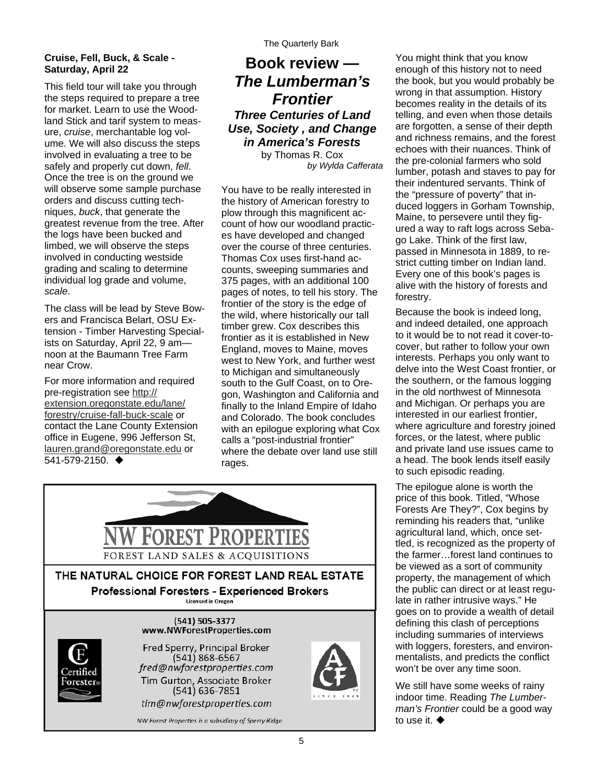### **Cruise, Fell, Buck, & Scale - Saturday, April 22**

This field tour will take you through the steps required to prepare a tree for market. Learn to use the Woodland Stick and tarif system to measure, *cruise*, merchantable log volume. We will also discuss the steps involved in evaluating a tree to be safely and properly cut down, *fell*. Once the tree is on the ground we will observe some sample purchase orders and discuss cutting techniques, *buck*, that generate the greatest revenue from the tree. After the logs have been bucked and limbed, we will observe the steps involved in conducting westside grading and scaling to determine individual log grade and volume, *scale*.

The class will be lead by Steve Bowers and Francisca Belart, OSU Extension - Timber Harvesting Specialists on Saturday, April 22, 9 am noon at the Baumann Tree Farm near Crow.

For more information and required pre-registration see [http://](http://extension.oregonstate.edu/lane/forestry/cruise-fall-buck-scale) [extension.oregonstate.edu/lane/](http://extension.oregonstate.edu/lane/forestry/cruise-fall-buck-scale) [forestry/cruise-fall-buck-scale](http://extension.oregonstate.edu/lane/forestry/cruise-fall-buck-scale) or contact the Lane County Extension office in Eugene, 996 Jefferson St, [lauren.grand@oregonstate.edu](mailto:lauren.grand@oregonstate.edu) or 541-579-2150.

### **Book review —**  *The Lumberman's Frontier Three Centuries of Land Use, Society , and Change in America's Forests*  by Thomas R. Cox

*by Wylda Cafferata* 

You have to be really interested in the history of American forestry to plow through this magnificent account of how our woodland practices have developed and changed over the course of three centuries. Thomas Cox uses first-hand accounts, sweeping summaries and 375 pages, with an additional 100 pages of notes, to tell his story. The frontier of the story is the edge of the wild, where historically our tall timber grew. Cox describes this frontier as it is established in New England, moves to Maine, moves west to New York, and further west to Michigan and simultaneously south to the Gulf Coast, on to Oregon, Washington and California and finally to the Inland Empire of Idaho and Colorado. The book concludes with an epilogue exploring what Cox calls a "post-industrial frontier" where the debate over land use still rages.



You might think that you know enough of this history not to need the book, but you would probably be wrong in that assumption. History becomes reality in the details of its telling, and even when those details are forgotten, a sense of their depth and richness remains, and the forest echoes with their nuances. Think of the pre-colonial farmers who sold lumber, potash and staves to pay for their indentured servants. Think of the "pressure of poverty" that induced loggers in Gorham Township, Maine, to persevere until they figured a way to raft logs across Sebago Lake. Think of the first law, passed in Minnesota in 1889, to restrict cutting timber on Indian land. Every one of this book's pages is alive with the history of forests and forestry.

Because the book is indeed long, and indeed detailed, one approach to it would be to not read it cover-tocover, but rather to follow your own interests. Perhaps you only want to delve into the West Coast frontier, or the southern, or the famous logging in the old northwest of Minnesota and Michigan. Or perhaps you are interested in our earliest frontier, where agriculture and forestry joined forces, or the latest, where public and private land use issues came to a head. The book lends itself easily to such episodic reading.

The epilogue alone is worth the price of this book. Titled, "Whose Forests Are They?", Cox begins by reminding his readers that, "unlike agricultural land, which, once settled, is recognized as the property of the farmer…forest land continues to be viewed as a sort of community property, the management of which the public can direct or at least regulate in rather intrusive ways." He goes on to provide a wealth of detail defining this clash of perceptions including summaries of interviews with loggers, foresters, and environmentalists, and predicts the conflict won't be over any time soon.

We still have some weeks of rainy indoor time. Reading *The Lumberman's Frontier* could be a good way to use it.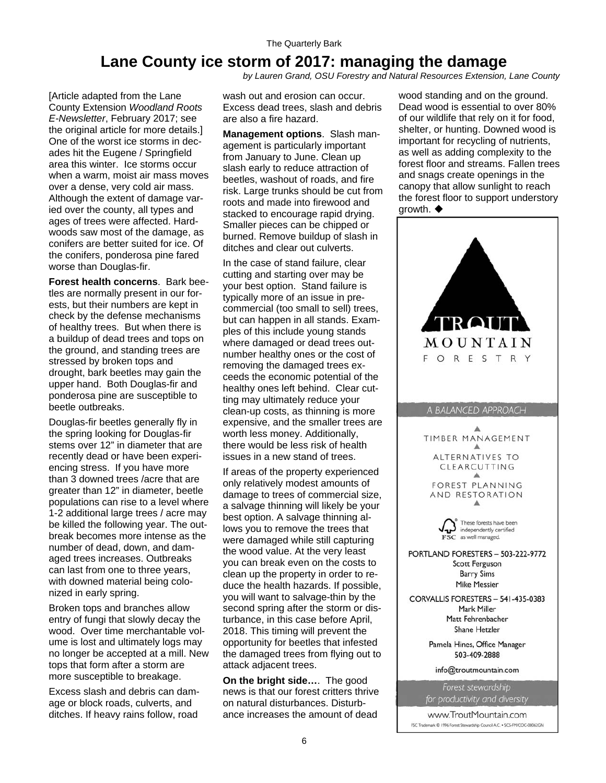# **Lane County ice storm of 2017: managing the damage**

*by Lauren Grand, OSU Forestry and Natural Resources Extension, Lane County* 

[Article adapted from the Lane County Extension *Woodland Roots E-Newsletter*, February 2017; see the original article for more details.] One of the worst ice storms in decades hit the Eugene / Springfield area this winter. Ice storms occur when a warm, moist air mass moves over a dense, very cold air mass. Although the extent of damage varied over the county, all types and ages of trees were affected. Hardwoods saw most of the damage, as conifers are better suited for ice. Of the conifers, ponderosa pine fared worse than Douglas-fir.

**Forest health concerns**. Bark beetles are normally present in our forests, but their numbers are kept in check by the defense mechanisms of healthy trees. But when there is a buildup of dead trees and tops on the ground, and standing trees are stressed by broken tops and drought, bark beetles may gain the upper hand. Both Douglas-fir and ponderosa pine are susceptible to beetle outbreaks.

Douglas-fir beetles generally fly in the spring looking for Douglas-fir stems over 12" in diameter that are recently dead or have been experiencing stress. If you have more than 3 downed trees /acre that are greater than 12" in diameter, beetle populations can rise to a level where 1-2 additional large trees / acre may be killed the following year. The outbreak becomes more intense as the number of dead, down, and damaged trees increases. Outbreaks can last from one to three years, with downed material being colonized in early spring.

Broken tops and branches allow entry of fungi that slowly decay the wood. Over time merchantable volume is lost and ultimately logs may no longer be accepted at a mill. New tops that form after a storm are more susceptible to breakage.

Excess slash and debris can damage or block roads, culverts, and ditches. If heavy rains follow, road wash out and erosion can occur. Excess dead trees, slash and debris are also a fire hazard.

**Management options**. Slash management is particularly important from January to June. Clean up slash early to reduce attraction of beetles, washout of roads, and fire risk. Large trunks should be cut from roots and made into firewood and stacked to encourage rapid drying. Smaller pieces can be chipped or burned. Remove buildup of slash in ditches and clear out culverts.

In the case of stand failure, clear cutting and starting over may be your best option. Stand failure is typically more of an issue in precommercial (too small to sell) trees, but can happen in all stands. Examples of this include young stands where damaged or dead trees outnumber healthy ones or the cost of removing the damaged trees exceeds the economic potential of the healthy ones left behind. Clear cutting may ultimately reduce your clean-up costs, as thinning is more expensive, and the smaller trees are worth less money. Additionally, there would be less risk of health issues in a new stand of trees.

If areas of the property experienced only relatively modest amounts of damage to trees of commercial size, a salvage thinning will likely be your best option. A salvage thinning allows you to remove the trees that were damaged while still capturing the wood value. At the very least you can break even on the costs to clean up the property in order to reduce the health hazards. If possible, you will want to salvage-thin by the second spring after the storm or disturbance, in this case before April, 2018. This timing will prevent the opportunity for beetles that infested the damaged trees from flying out to attack adjacent trees.

**On the bright side…**. The good news is that our forest critters thrive on natural disturbances. Disturbance increases the amount of dead

wood standing and on the ground. Dead wood is essential to over 80% of our wildlife that rely on it for food, shelter, or hunting. Downed wood is important for recycling of nutrients, as well as adding complexity to the forest floor and streams. Fallen trees and snags create openings in the canopy that allow sunlight to reach the forest floor to support understory growth.  $\blacklozenge$ 

| $\mathbb R$ $\Omega$ l<br>TT<br>MOUNTAIN<br>FORESTR                                                       |
|-----------------------------------------------------------------------------------------------------------|
| <b>BALANCED APPROACH</b>                                                                                  |
| ▵<br>TIMBER MANAGEMENT<br>▲<br>ALTERNATIVES TO<br>CLEARCUTTING<br>FOREST PLANNING<br>AND RESTORATION<br>◭ |
| These forests have been<br>independently certified<br>$\overline{\textbf{FSC}}$ as well managed.          |
| PORTLAND FORESTERS - 503-222-9772<br>Scott Ferguson<br><b>Barry Sims</b><br><b>Mike Messier</b>           |
| CORVALLIS FORESTERS - 541-435-0383<br>Mark Miller<br>Matt Fehrenbacher<br>Shane Hetzler                   |
| Pamela Hines, Office Manager<br>503-409-2888                                                              |
| info@troutmountain.com                                                                                    |
| Forest stewardship<br>for productivity and diversity                                                      |

www.TroutMountain.com FSC Trademark @ 1996 Forest Stewardship Council A.C. . SCS-FM/COC-00062GN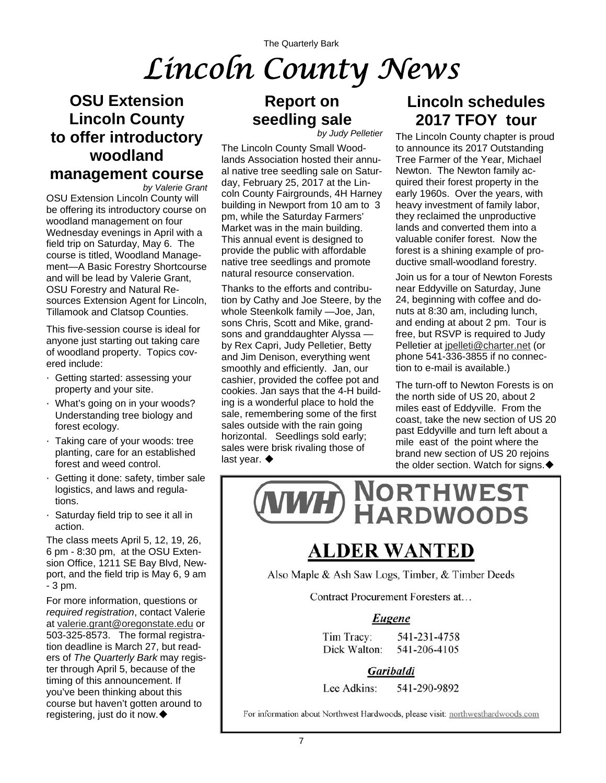# The Quarterly Bark *Lincoln County News*

# **OSU Extension Lincoln County to offer introductory woodland management course**

*by Valerie Grant*  OSU Extension Lincoln County will be offering its introductory course on woodland management on four Wednesday evenings in April with a field trip on Saturday, May 6. The course is titled, Woodland Management—A Basic Forestry Shortcourse and will be lead by Valerie Grant, OSU Forestry and Natural Resources Extension Agent for Lincoln, Tillamook and Clatsop Counties.

This five-session course is ideal for anyone just starting out taking care of woodland property. Topics covered include:

- · Getting started: assessing your property and your site.
- · What's going on in your woods? Understanding tree biology and forest ecology.
- · Taking care of your woods: tree planting, care for an established forest and weed control.
- · Getting it done: safety, timber sale logistics, and laws and regulations.
- · Saturday field trip to see it all in action.

The class meets April 5, 12, 19, 26, 6 pm - 8:30 pm, at the OSU Extension Office, 1211 SE Bay Blvd, Newport, and the field trip is May 6, 9 am - 3 pm.

For more information, questions or *required registration*, contact Valerie at [valerie.grant@oregonstate.edu](mailto:valerie.grant@oregonstate.edu) or 503-325-8573. The formal registration deadline is March 27, but readers of *The Quarterly Bark* may register through April 5, because of the timing of this announcement. If you've been thinking about this course but haven't gotten around to registering, just do it now.

# **Report on seedling sale**

*by Judy Pelletier* 

The Lincoln County Small Woodlands Association hosted their annual native tree seedling sale on Saturday, February 25, 2017 at the Lincoln County Fairgrounds, 4H Harney building in Newport from 10 am to 3 pm, while the Saturday Farmers' Market was in the main building. This annual event is designed to provide the public with affordable native tree seedlings and promote natural resource conservation.

Thanks to the efforts and contribution by Cathy and Joe Steere, by the whole Steenkolk family —Joe, Jan, sons Chris, Scott and Mike, grandsons and granddaughter Alyssa by Rex Capri, Judy Pelletier, Betty and Jim Denison, everything went smoothly and efficiently. Jan, our cashier, provided the coffee pot and cookies. Jan says that the 4-H building is a wonderful place to hold the sale, remembering some of the first sales outside with the rain going horizontal. Seedlings sold early; sales were brisk rivaling those of last year. ♦

# **Lincoln schedules 2017 TFOY tour**

The Lincoln County chapter is proud to announce its 2017 Outstanding Tree Farmer of the Year, Michael Newton. The Newton family acquired their forest property in the early 1960s. Over the years, with heavy investment of family labor, they reclaimed the unproductive lands and converted them into a valuable conifer forest. Now the forest is a shining example of productive small-woodland forestry.

Join us for a tour of Newton Forests near Eddyville on Saturday, June 24, beginning with coffee and donuts at 8:30 am, including lunch, and ending at about 2 pm. Tour is free, but RSVP is required to Judy Pelletier at [jpelleti@charter.net](mailto:jpelleti@charter.net) (or phone 541-336-3855 if no connection to e-mail is available.)

The turn-off to Newton Forests is on the north side of US 20, about 2 miles east of Eddyville. From the coast, take the new section of US 20 past Eddyville and turn left about a mile east of the point where the brand new section of US 20 rejoins the older section. Watch for signs.  $\blacklozenge$ 



# **ALDER WANTED**

Also Maple & Ash Saw Logs, Timber, & Timber Deeds

Contract Procurement Foresters at...

### Eugene

Tim Tracy: 541-231-4758 Dick Walton: 541-206-4105

Garibaldi

Lee Adkins: 541-290-9892

For information about Northwest Hardwoods, please visit: northwesthardwoods.com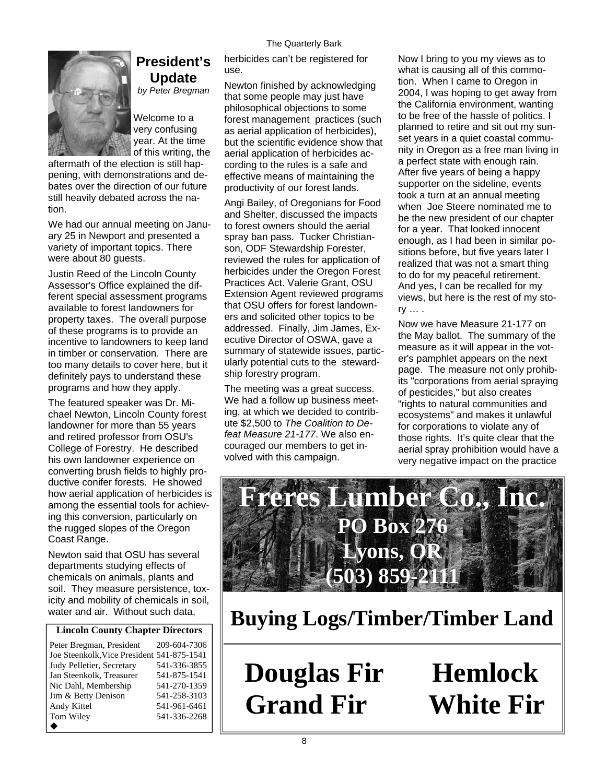#### The Quarterly Bark



### **President's Update**

*by Peter Bregman* 

Welcome to a very confusing year. At the time of this writing, the

aftermath of the election is still happening, with demonstrations and debates over the direction of our future still heavily debated across the nation.

We had our annual meeting on January 25 in Newport and presented a variety of important topics. There were about 80 guests.

Justin Reed of the Lincoln County Assessor's Office explained the different special assessment programs available to forest landowners for property taxes. The overall purpose of these programs is to provide an incentive to landowners to keep land in timber or conservation. There are too many details to cover here, but it definitely pays to understand these programs and how they apply.

The featured speaker was Dr. Michael Newton, Lincoln County forest landowner for more than 55 years and retired professor from OSU's College of Forestry. He described his own landowner experience on converting brush fields to highly productive conifer forests. He showed how aerial application of herbicides is among the essential tools for achieving this conversion, particularly on the rugged slopes of the Oregon Coast Range.

Newton said that OSU has several departments studying effects of chemicals on animals, plants and soil. They measure persistence, toxicity and mobility of chemicals in soil, water and air. Without such data,

### **Lincoln County Chapter Directors**

| Peter Bregman, President                   | 209-604-7306 |
|--------------------------------------------|--------------|
| Joe Steenkolk, Vice President 541-875-1541 |              |
| Judy Pelletier, Secretary                  | 541-336-3855 |
| Jan Steenkolk, Treasurer                   | 541-875-1541 |
| Nic Dahl, Membership                       | 541-270-1359 |
| Jim & Betty Denison                        | 541-258-3103 |
| Andy Kittel                                | 541-961-6461 |
| Tom Wiley                                  | 541-336-2268 |
|                                            |              |

herbicides can't be registered for use.

Newton finished by acknowledging that some people may just have philosophical objections to some forest management practices (such as aerial application of herbicides), but the scientific evidence show that aerial application of herbicides according to the rules is a safe and effective means of maintaining the productivity of our forest lands.

Angi Bailey, of Oregonians for Food and Shelter, discussed the impacts to forest owners should the aerial spray ban pass. Tucker Christianson, ODF Stewardship Forester, reviewed the rules for application of herbicides under the Oregon Forest Practices Act. Valerie Grant, OSU Extension Agent reviewed programs that OSU offers for forest landowners and solicited other topics to be addressed. Finally, Jim James, Executive Director of OSWA, gave a summary of statewide issues, particularly potential cuts to the stewardship forestry program.

The meeting was a great success. We had a follow up business meeting, at which we decided to contribute \$2,500 to *The Coalition to Defeat Measure 21-177*. We also encouraged our members to get involved with this campaign.

Now I bring to you my views as to what is causing all of this commotion. When I came to Oregon in 2004, I was hoping to get away from the California environment, wanting to be free of the hassle of politics. I planned to retire and sit out my sunset years in a quiet coastal community in Oregon as a free man living in a perfect state with enough rain. After five years of being a happy supporter on the sideline, events took a turn at an annual meeting when Joe Steere nominated me to be the new president of our chapter for a year. That looked innocent enough, as I had been in similar positions before, but five years later I realized that was not a smart thing to do for my peaceful retirement. And yes, I can be recalled for my views, but here is the rest of my story … .

Now we have Measure 21-177 on the May ballot. The summary of the measure as it will appear in the voter's pamphlet appears on the next page. The measure not only prohibits "corporations from aerial spraying of pesticides," but also creates "rights to natural communities and ecosystems" and makes it unlawful for corporations to violate any of those rights. It's quite clear that the aerial spray prohibition would have a very negative impact on the practice



**Buying Logs/Timber/Timber Land**

**Douglas Fir Hemlock Grand Fir White Fir**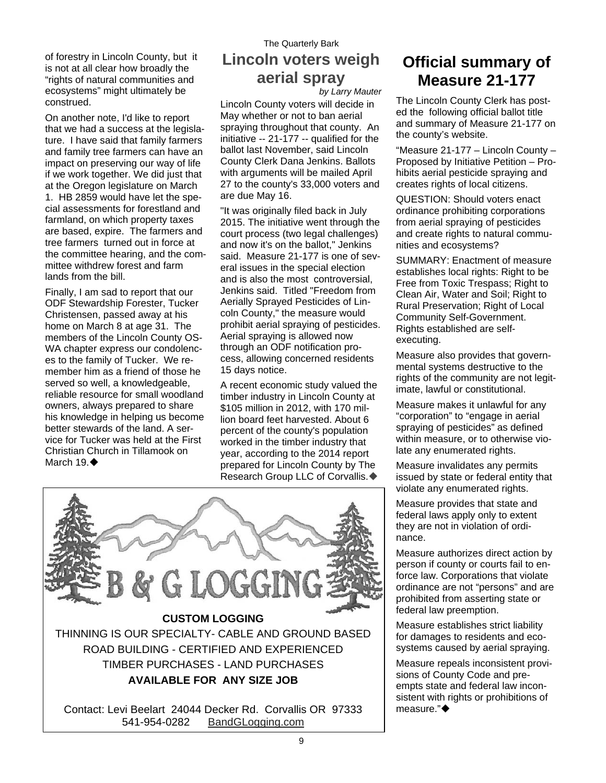of forestry in Lincoln County, but it is not at all clear how broadly the "rights of natural communities and ecosystems" might ultimately be construed.

On another note, I'd like to report that we had a success at the legislature. I have said that family farmers and family tree farmers can have an impact on preserving our way of life if we work together. We did just that at the Oregon legislature on March 1. HB 2859 would have let the special assessments for forestland and farmland, on which property taxes are based, expire. The farmers and tree farmers turned out in force at the committee hearing, and the committee withdrew forest and farm lands from the bill.

Finally, I am sad to report that our ODF Stewardship Forester, Tucker Christensen, passed away at his home on March 8 at age 31. The members of the Lincoln County OS-WA chapter express our condolences to the family of Tucker. We remember him as a friend of those he served so well, a knowledgeable, reliable resource for small woodland owners, always prepared to share his knowledge in helping us become better stewards of the land. A service for Tucker was held at the First Christian Church in Tillamook on March 19. ♦

# The Quarterly Bark **Lincoln voters weigh aerial spray**

*by Larry Mauter* 

Lincoln County voters will decide in May whether or not to ban aerial spraying throughout that county. An initiative -- 21-177 -- qualified for the ballot last November, said Lincoln County Clerk Dana Jenkins. Ballots with arguments will be mailed April 27 to the county's 33,000 voters and are due May 16.

"It was originally filed back in July 2015. The initiative went through the court process (two legal challenges) and now it's on the ballot," Jenkins said. Measure 21-177 is one of several issues in the special election and is also the most controversial, Jenkins said. Titled "Freedom from Aerially Sprayed Pesticides of Lincoln County," the measure would prohibit aerial spraying of pesticides. Aerial spraying is allowed now through an ODF notification process, allowing concerned residents 15 days notice.

A recent economic study valued the timber industry in Lincoln County at \$105 million in 2012, with 170 million board feet harvested. About 6 percent of the county's population worked in the timber industry that year, according to the 2014 report prepared for Lincoln County by The Research Group LLC of Corvallis.



# **Official summary of Measure 21-177**

The Lincoln County Clerk has posted the following official ballot title and summary of Measure 21-177 on the county's website.

"Measure 21-177 – Lincoln County – Proposed by Initiative Petition – Prohibits aerial pesticide spraying and creates rights of local citizens.

QUESTION: Should voters enact ordinance prohibiting corporations from aerial spraying of pesticides and create rights to natural communities and ecosystems?

SUMMARY: Enactment of measure establishes local rights: Right to be Free from Toxic Trespass; Right to Clean Air, Water and Soil; Right to Rural Preservation; Right of Local Community Self-Government. Rights established are selfexecuting.

Measure also provides that governmental systems destructive to the rights of the community are not legitimate, lawful or constitutional.

Measure makes it unlawful for any "corporation" to "engage in aerial spraying of pesticides" as defined within measure, or to otherwise violate any enumerated rights.

Measure invalidates any permits issued by state or federal entity that violate any enumerated rights.

Measure provides that state and federal laws apply only to extent they are not in violation of ordinance.

Measure authorizes direct action by person if county or courts fail to enforce law. Corporations that violate ordinance are not "persons" and are prohibited from asserting state or federal law preemption.

Measure establishes strict liability for damages to residents and ecosystems caused by aerial spraying.

Measure repeals inconsistent provisions of County Code and preempts state and federal law inconsistent with rights or prohibitions of measure."◆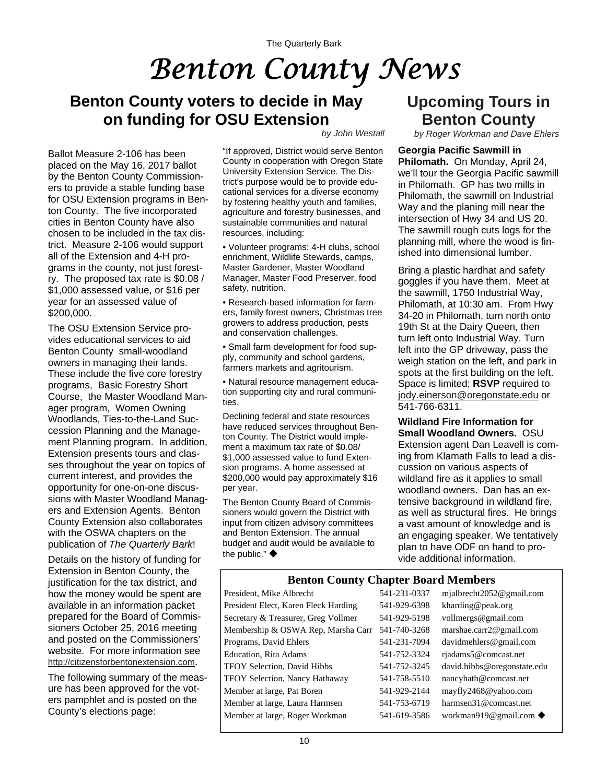# *Benton County News*

# **Benton County voters to decide in May on funding for OSU Extension**

Ballot Measure 2-106 has been placed on the May 16, 2017 ballot by the Benton County Commissioners to provide a stable funding base for OSU Extension programs in Benton County. The five incorporated cities in Benton County have also chosen to be included in the tax district. Measure 2-106 would support all of the Extension and 4-H programs in the county, not just forestry. The proposed tax rate is \$0.08 / \$1,000 assessed value, or \$16 per year for an assessed value of \$200,000.

The OSU Extension Service provides educational services to aid Benton County small-woodland owners in managing their lands. These include the five core forestry programs, Basic Forestry Short Course, the Master Woodland Manager program, Women Owning Woodlands, Ties-to-the-Land Succession Planning and the Management Planning program. In addition, Extension presents tours and classes throughout the year on topics of current interest, and provides the opportunity for one-on-one discussions with Master Woodland Managers and Extension Agents. Benton County Extension also collaborates with the OSWA chapters on the publication of *The Quarterly Bark*!

Details on the history of funding for Extension in Benton County, the justification for the tax district, and how the money would be spent are available in an information packet prepared for the Board of Commissioners October 25, 2016 meeting and posted on the Commissioners' website. For more information see [http://citizensforbentonextension.com.](http://citizensforbentonextension.com)

The following summary of the measure has been approved for the voters pamphlet and is posted on the County's elections page:

#### *by John Westall*

"If approved, District would serve Benton County in cooperation with Oregon State University Extension Service. The District's purpose would be to provide educational services for a diverse economy by fostering healthy youth and families, agriculture and forestry businesses, and sustainable communities and natural resources, including:

• Volunteer programs: 4-H clubs, school enrichment, Wildlife Stewards, camps, Master Gardener, Master Woodland Manager, Master Food Preserver, food safety, nutrition.

• Research-based information for farmers, family forest owners, Christmas tree growers to address production, pests and conservation challenges.

• Small farm development for food supply, community and school gardens, farmers markets and agritourism.

• Natural resource management education supporting city and rural communities.

Declining federal and state resources have reduced services throughout Benton County. The District would implement a maximum tax rate of \$0.08/ \$1,000 assessed value to fund Extension programs. A home assessed at \$200,000 would pay approximately \$16 per year.

The Benton County Board of Commissioners would govern the District with input from citizen advisory committees and Benton Extension. The annual budget and audit would be available to the public."  $\blacklozenge$ 

# **Upcoming Tours in Benton County**

*by Roger Workman and Dave Ehlers*

**Georgia Pacific Sawmill in Philomath.** On Monday, April 24, we'll tour the Georgia Pacific sawmill in Philomath. GP has two mills in Philomath, the sawmill on Industrial Way and the planing mill near the intersection of Hwy 34 and US 20. The sawmill rough cuts logs for the planning mill, where the wood is finished into dimensional lumber.

Bring a plastic hardhat and safety goggles if you have them. Meet at the sawmill, 1750 Industrial Way, Philomath, at 10:30 am. From Hwy 34-20 in Philomath, turn north onto 19th St at the Dairy Queen, then turn left onto Industrial Way. Turn left into the GP driveway, pass the weigh station on the left, and park in spots at the first building on the left. Space is limited; **RSVP** required to [jody.einerson@oregonstate.edu](mailto:jody.einerson@oregonstate.edu) or 541-766-6311.

#### **Wildland Fire Information for Small Woodland Owners.** OSU Extension agent Dan Leavell is coming from Klamath Falls to lead a discussion on various aspects of wildland fire as it applies to small woodland owners. Dan has an extensive background in wildland fire, as well as structural fires. He brings a vast amount of knowledge and is an engaging speaker. We tentatively plan to have ODF on hand to provide additional information.

### **Benton County Chapter Board Members**

President, Mike Albrecht 541-231-0337 mjalbrecht2052@gmail.com President Elect, Karen Fleck Harding 541-929-6398 kharding@peak.org Secretary & Treasurer, Greg Vollmer 541-929-5198 vollmergs@gmail.com Membership & OSWA Rep, Marsha Carr 541-740-3268 marshae.carr2@gmail.com Programs, David Ehlers 541-231-7094 davidmehlers@gmail.com Education, Rita Adams 541-752-3324 rjadams5@comcast.net TFOY Selection, David Hibbs 541-752-3245 david.hibbs@oregonstate.edu TFOY Selection, Nancy Hathaway 541-758-5510 nancyhath@comcast.net Member at large, Pat Boren 541-929-2144 mayfly2468@yahoo.com Member at large, Laura Harmsen 541-753-6719 harmsen31@comcast.net Member at large, Roger Workman 541-619-3586 workman919@gmail.com ♦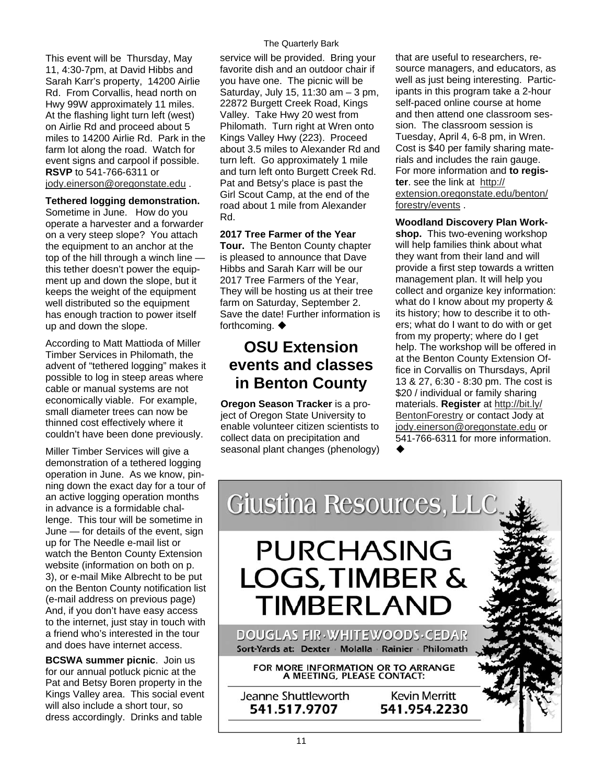This event will be Thursday, May 11, 4:30-7pm, at David Hibbs and Sarah Karr's property, 14200 Airlie Rd. From Corvallis, head north on Hwy 99W approximately 11 miles. At the flashing light turn left (west) on Airlie Rd and proceed about 5 miles to 14200 Airlie Rd. Park in the farm lot along the road. Watch for event signs and carpool if possible. **RSVP** to 541-766-6311 or [jody.einerson@oregonstate.edu](mailto:jody.einerson@oregonstate.edu) .

### **Tethered logging demonstration.**

Sometime in June. How do you operate a harvester and a forwarder on a very steep slope? You attach the equipment to an anchor at the top of the hill through a winch line this tether doesn't power the equipment up and down the slope, but it keeps the weight of the equipment well distributed so the equipment has enough traction to power itself up and down the slope.

According to Matt Mattioda of Miller Timber Services in Philomath, the advent of "tethered logging" makes it possible to log in steep areas where cable or manual systems are not economically viable. For example, small diameter trees can now be thinned cost effectively where it couldn't have been done previously.

Miller Timber Services will give a demonstration of a tethered logging operation in June. As we know, pinning down the exact day for a tour of an active logging operation months in advance is a formidable challenge. This tour will be sometime in June — for details of the event, sign up for The Needle e-mail list or watch the Benton County Extension website (information on both on p. 3), or e-mail Mike Albrecht to be put on the Benton County notification list (e-mail address on previous page) And, if you don't have easy access to the internet, just stay in touch with a friend who's interested in the tour and does have internet access.

**BCSWA summer picnic**. Join us for our annual potluck picnic at the Pat and Betsy Boren property in the Kings Valley area. This social event will also include a short tour, so dress accordingly. Drinks and table

### The Quarterly Bark

service will be provided. Bring your favorite dish and an outdoor chair if you have one. The picnic will be Saturday, July 15, 11:30 am – 3 pm, 22872 Burgett Creek Road, Kings Valley. Take Hwy 20 west from Philomath. Turn right at Wren onto Kings Valley Hwy (223). Proceed about 3.5 miles to Alexander Rd and turn left. Go approximately 1 mile and turn left onto Burgett Creek Rd. Pat and Betsy's place is past the Girl Scout Camp, at the end of the road about 1 mile from Alexander Rd.

### **2017 Tree Farmer of the Year**

**Tour.** The Benton County chapter is pleased to announce that Dave Hibbs and Sarah Karr will be our 2017 Tree Farmers of the Year They will be hosting us at their tree farm on Saturday, September 2. Save the date! Further information is forthcoming. ♦

# **OSU Extension events and classes in Benton County**

**Oregon Season Tracker** is a project of Oregon State University to enable volunteer citizen scientists to collect data on precipitation and seasonal plant changes (phenology) that are useful to researchers, resource managers, and educators, as well as just being interesting. Participants in this program take a 2-hour self-paced online course at home and then attend one classroom session. The classroom session is Tuesday, April 4, 6-8 pm, in Wren. Cost is \$40 per family sharing materials and includes the rain gauge. For more information and **to register**. see the link at [http://](http://extension.oregonstate.edu/benton/forestry/events) [extension.oregonstate.edu/benton/](http://extension.oregonstate.edu/benton/forestry/events) [forestry/events](http://extension.oregonstate.edu/benton/forestry/events) .

### **Woodland Discovery Plan Work-**

**shop.** This two-evening workshop will help families think about what they want from their land and will provide a first step towards a written management plan. It will help you collect and organize key information: what do I know about my property & its history; how to describe it to others; what do I want to do with or get from my property; where do I get help. The workshop will be offered in at the Benton County Extension Office in Corvallis on Thursdays, April 13 & 27, 6:30 - 8:30 pm. The cost is \$20 / individual or family sharing materials. **Register** at [http://bit.ly/](http://bit.ly/BentonForestry) [BentonForestry](http://bit.ly/BentonForestry) or contact Jody at [jody.einerson@oregonstate.edu](mailto:jody.einerson@oregonstate.edu) or 541-766-6311 for more information.  $\blacklozenge$ 

Giustina Resources, LLC **PURCHASING LOGS, TIMBER & TIMBERLAND** 

DOUGLAS FIR WHITEWOODS CEDAR Sort-Yards at: Dexter Molalla Rainier Philomath

FOR MORE INFORMATION OR TO ARRANGE A MEETING, PLEASE CONTACT:

Jeanne Shuttleworth 541.517.9707

**Kevin Merritt** 541.954.2230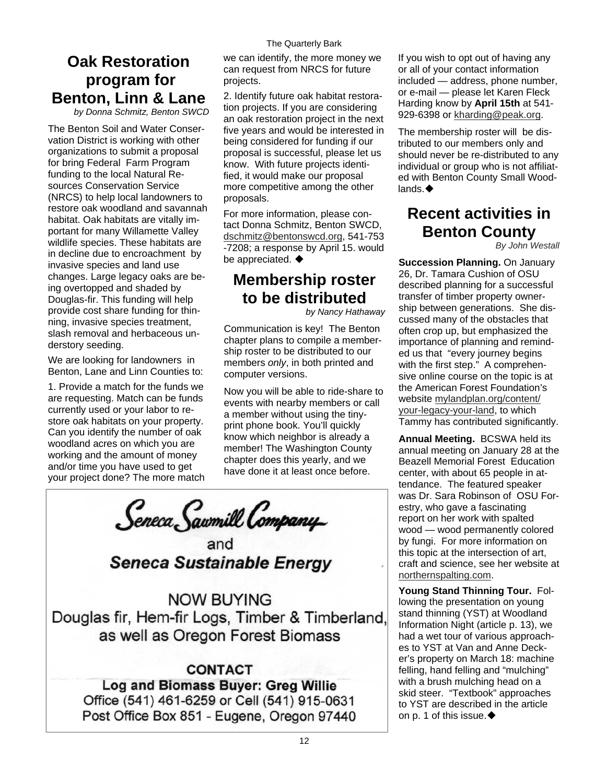# **Oak Restoration program for Benton, Linn & Lane**

*by Donna Schmitz, Benton SWCD* 

The Benton Soil and Water Conservation District is working with other organizations to submit a proposal for bring Federal Farm Program funding to the local Natural Resources Conservation Service (NRCS) to help local landowners to restore oak woodland and savannah habitat. Oak habitats are vitally important for many Willamette Valley wildlife species. These habitats are in decline due to encroachment by invasive species and land use changes. Large legacy oaks are being overtopped and shaded by Douglas-fir. This funding will help provide cost share funding for thinning, invasive species treatment, slash removal and herbaceous understory seeding.

We are looking for landowners in Benton, Lane and Linn Counties to:

1. Provide a match for the funds we are requesting. Match can be funds currently used or your labor to restore oak habitats on your property. Can you identify the number of oak woodland acres on which you are working and the amount of money and/or time you have used to get your project done? The more match we can identify, the more money we can request from NRCS for future projects.

2. Identify future oak habitat restoration projects. If you are considering an oak restoration project in the next five years and would be interested in being considered for funding if our proposal is successful, please let us know. With future projects identified, it would make our proposal more competitive among the other proposals.

For more information, please contact Donna Schmitz, Benton SWCD, [dschmitz@bentonswcd.org](mailto:dschmitz@bentonswcd.org), 541-753 -7208; a response by April 15. would be appreciated.  $\blacklozenge$ 

# **Membership roster to be distributed**

*by Nancy Hathaway* 

Communication is key! The Benton chapter plans to compile a membership roster to be distributed to our members *only*, in both printed and computer versions.

Now you will be able to ride-share to events with nearby members or call a member without using the tinyprint phone book. You'll quickly know which neighbor is already a member! The Washington County chapter does this yearly, and we have done it at least once before.

Seneca Sawmill Company

**Seneca Sustainable Energy** 

**NOW BUYING** Douglas fir, Hem-fir Logs, Timber & Timberland, as well as Oregon Forest Biomass

**CONTACT** Log and Biomass Buyer: Greg Willie Office (541) 461-6259 or Cell (541) 915-0631 Post Office Box 851 - Eugene, Oregon 97440 If you wish to opt out of having any or all of your contact information included — address, phone number, or e-mail — please let Karen Fleck Harding know by **April 15th** at 541- 929-6398 or [kharding@peak.org.](mailto:kharding@peak.org)

The membership roster will be distributed to our members only and should never be re-distributed to any individual or group who is not affiliated with Benton County Small Woodlands. ♦

# **Recent activities in Benton County**

*By John Westall*

**Succession Planning.** On January 26, Dr. Tamara Cushion of OSU described planning for a successful transfer of timber property ownership between generations. She discussed many of the obstacles that often crop up, but emphasized the importance of planning and reminded us that "every journey begins with the first step." A comprehensive online course on the topic is at the American Forest Foundation's website [mylandplan.org/content/](https://mylandplan.org/content/your-legacy-your-land) [your-legacy-your-land,](https://mylandplan.org/content/your-legacy-your-land) to which Tammy has contributed significantly.

**Annual Meeting.** BCSWA held its annual meeting on January 28 at the Beazell Memorial Forest Education center, with about 65 people in attendance. The featured speaker was Dr. Sara Robinson of OSU Forestry, who gave a fascinating report on her work with spalted wood — wood permanently colored by fungi. For more information on this topic at the intersection of art, craft and science, see her website at [northernspalting.com](http://www.northernspalting.com/).

**Young Stand Thinning Tour.** Following the presentation on young stand thinning (YST) at Woodland Information Night (article p. 13), we had a wet tour of various approaches to YST at Van and Anne Decker's property on March 18: machine felling, hand felling and "mulching" with a brush mulching head on a skid steer. "Textbook" approaches to YST are described in the article on p. 1 of this issue. $\blacklozenge$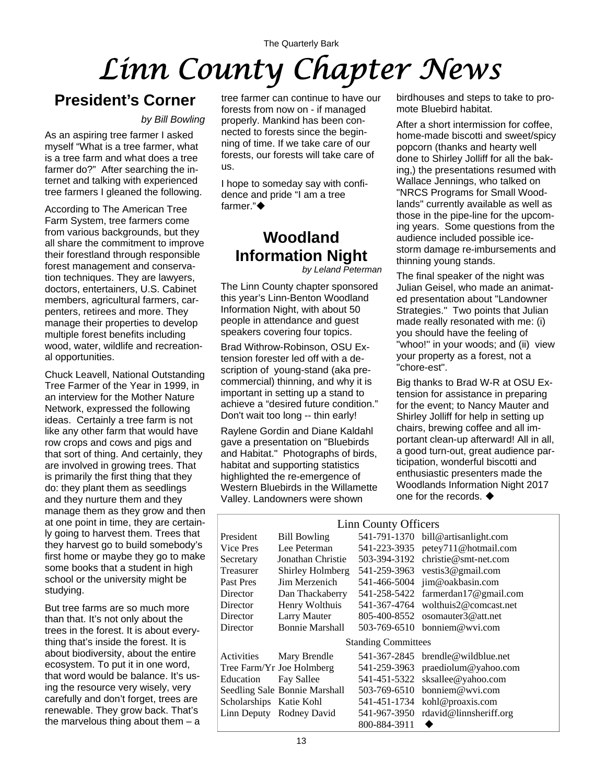# The Quarterly Bark *Linn County Chapter News*

# **President's Corner**

### *by Bill Bowling*

As an aspiring tree farmer I asked myself "What is a tree farmer, what is a tree farm and what does a tree farmer do?" After searching the internet and talking with experienced tree farmers I gleaned the following.

According to The American Tree Farm System, tree farmers come from various backgrounds, but they all share the commitment to improve their forestland through responsible forest management and conservation techniques. They are lawyers, doctors, entertainers, U.S. Cabinet members, agricultural farmers, carpenters, retirees and more. They manage their properties to develop multiple forest benefits including wood, water, wildlife and recreational opportunities.

Chuck Leavell, National Outstanding Tree Farmer of the Year in 1999, in an interview for the Mother Nature Network, expressed the following ideas. Certainly a tree farm is not like any other farm that would have row crops and cows and pigs and that sort of thing. And certainly, they are involved in growing trees. That is primarily the first thing that they do: they plant them as seedlings and they nurture them and they manage them as they grow and then at one point in time, they are certainly going to harvest them. Trees that they harvest go to build somebody's first home or maybe they go to make some books that a student in high school or the university might be studying.

But tree farms are so much more than that. It's not only about the trees in the forest. It is about everything that's inside the forest. It is about biodiversity, about the entire ecosystem. To put it in one word, that word would be balance. It's using the resource very wisely, very carefully and don't forget, trees are renewable. They grow back. That's the marvelous thing about them  $- a$ 

tree farmer can continue to have our forests from now on - if managed properly. Mankind has been connected to forests since the beginning of time. If we take care of our forests, our forests will take care of us.

I hope to someday say with confidence and pride "I am a tree farmer."

# **Woodland Information Night**

*by Leland Peterman* 

The Linn County chapter sponsored this year's Linn-Benton Woodland Information Night, with about 50 people in attendance and guest speakers covering four topics.

Brad Withrow-Robinson, OSU Extension forester led off with a description of young-stand (aka precommercial) thinning, and why it is important in setting up a stand to achieve a "desired future condition." Don't wait too long -- thin early!

Raylene Gordin and Diane Kaldahl gave a presentation on "Bluebirds and Habitat." Photographs of birds, habitat and supporting statistics highlighted the re-emergence of Western Bluebirds in the Willamette Valley. Landowners were shown

birdhouses and steps to take to promote Bluebird habitat.

After a short intermission for coffee, home-made biscotti and sweet/spicy popcorn (thanks and hearty well done to Shirley Jolliff for all the baking,) the presentations resumed with Wallace Jennings, who talked on "NRCS Programs for Small Woodlands" currently available as well as those in the pipe-line for the upcoming years. Some questions from the audience included possible icestorm damage re-imbursements and thinning young stands.

The final speaker of the night was Julian Geisel, who made an animated presentation about "Landowner Strategies." Two points that Julian made really resonated with me: (i) you should have the feeling of "whoo!'' in your woods; and (ii) view your property as a forest, not a "chore-est".

Big thanks to Brad W-R at OSU Extension for assistance in preparing for the event; to Nancy Mauter and Shirley Jolliff for help in setting up chairs, brewing coffee and all important clean-up afterward! All in all, a good turn-out, great audience participation, wonderful biscotti and enthusiastic presenters made the Woodlands Information Night 2017 one for the records.  $\blacklozenge$ 

| Linn County Officers    |                               |                            |                                     |  |  |  |  |  |  |
|-------------------------|-------------------------------|----------------------------|-------------------------------------|--|--|--|--|--|--|
| President               | <b>Bill Bowling</b>           |                            | 541-791-1370 bill@artisanlight.com  |  |  |  |  |  |  |
| Vice Pres               | Lee Peterman                  |                            | 541-223-3935 petey711@hotmail.com   |  |  |  |  |  |  |
| Secretary               | Jonathan Christie             | 503-394-3192               | $christie@smt-net.com$              |  |  |  |  |  |  |
| Treasurer               | Shirley Holmberg              |                            | 541-259-3963 vestis3@gmail.com      |  |  |  |  |  |  |
| Past Pres               | Jim Merzenich                 |                            | 541-466-5004 jim@oakbasin.com       |  |  |  |  |  |  |
| Director                | Dan Thackaberry               |                            | 541-258-5422 farmerdan17@gmail.com  |  |  |  |  |  |  |
| Director                | Henry Wolthuis                | 541-367-4764               | wolthuis2@comcast.net               |  |  |  |  |  |  |
| Director                | Larry Mauter                  |                            | 805-400-8552 osomauter3@att.net     |  |  |  |  |  |  |
| Director                | <b>Bonnie Marshall</b>        |                            | 503-769-6510 bonniem@wyi.com        |  |  |  |  |  |  |
|                         |                               | <b>Standing Committees</b> |                                     |  |  |  |  |  |  |
| Activities              | Mary Brendle                  |                            | 541-367-2845 brendle@wildblue.net   |  |  |  |  |  |  |
|                         | Tree Farm/Yr Joe Holmberg     | 541-259-3963               | praediolum@yahoo.com                |  |  |  |  |  |  |
| Education               | Fay Sallee                    | 541-451-5322               | sksallee@yahoo.com                  |  |  |  |  |  |  |
|                         | Seedling Sale Bonnie Marshall | 503-769-6510               | $b$ onniem@wvi.com                  |  |  |  |  |  |  |
| Scholarships Katie Kohl |                               |                            | 541-451-1734 kohl@proaxis.com       |  |  |  |  |  |  |
|                         | Linn Deputy Rodney David      |                            | 541-967-3950 rdavid@linnsheriff.org |  |  |  |  |  |  |
|                         |                               | 800-884-3911               |                                     |  |  |  |  |  |  |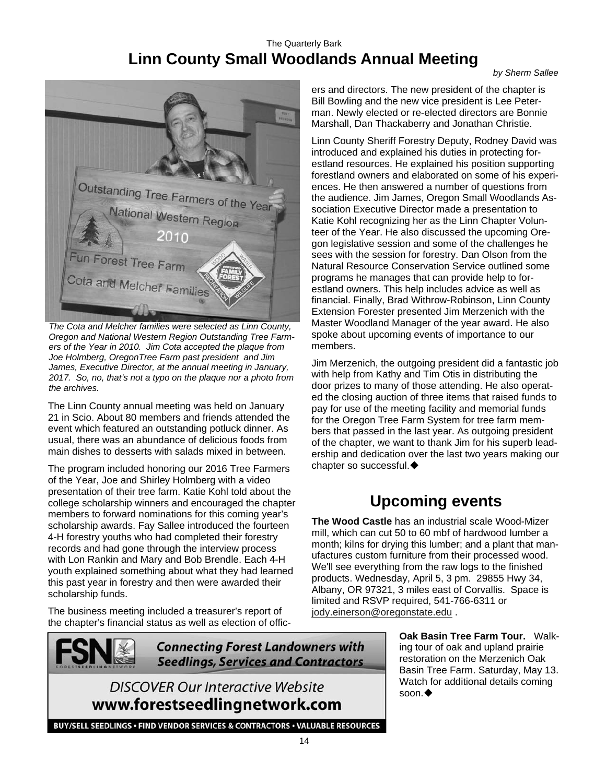### The Quarterly Bark **Linn County Small Woodlands Annual Meeting**

*by Sherm Sallee* 



*The Cota and Melcher families were selected as Linn County, Oregon and National Western Region Outstanding Tree Farmers of the Year in 2010. Jim Cota accepted the plaque from Joe Holmberg, OregonTree Farm past president and Jim James, Executive Director, at the annual meeting in January, 2017. So, no, that's not a typo on the plaque nor a photo from the archives.* 

The Linn County annual meeting was held on January 21 in Scio. About 80 members and friends attended the event which featured an outstanding potluck dinner. As usual, there was an abundance of delicious foods from main dishes to desserts with salads mixed in between.

The program included honoring our 2016 Tree Farmers of the Year, Joe and Shirley Holmberg with a video presentation of their tree farm. Katie Kohl told about the college scholarship winners and encouraged the chapter members to forward nominations for this coming year's scholarship awards. Fay Sallee introduced the fourteen 4-H forestry youths who had completed their forestry records and had gone through the interview process with Lon Rankin and Mary and Bob Brendle. Each 4-H youth explained something about what they had learned this past year in forestry and then were awarded their scholarship funds.

The business meeting included a treasurer's report of the chapter's financial status as well as election of offic-



**Connecting Forest Landowners with Seedlings, Services and Contractors** 

**DISCOVER Our Interactive Website** www.forestseedlingnetwork.com

ers and directors. The new president of the chapter is Bill Bowling and the new vice president is Lee Peterman. Newly elected or re-elected directors are Bonnie Marshall, Dan Thackaberry and Jonathan Christie.

Linn County Sheriff Forestry Deputy, Rodney David was introduced and explained his duties in protecting forestland resources. He explained his position supporting forestland owners and elaborated on some of his experiences. He then answered a number of questions from the audience. Jim James, Oregon Small Woodlands Association Executive Director made a presentation to Katie Kohl recognizing her as the Linn Chapter Volunteer of the Year. He also discussed the upcoming Oregon legislative session and some of the challenges he sees with the session for forestry. Dan Olson from the Natural Resource Conservation Service outlined some programs he manages that can provide help to forestland owners. This help includes advice as well as financial. Finally, Brad Withrow-Robinson, Linn County Extension Forester presented Jim Merzenich with the Master Woodland Manager of the year award. He also spoke about upcoming events of importance to our members.

Jim Merzenich, the outgoing president did a fantastic job with help from Kathy and Tim Otis in distributing the door prizes to many of those attending. He also operated the closing auction of three items that raised funds to pay for use of the meeting facility and memorial funds for the Oregon Tree Farm System for tree farm members that passed in the last year. As outgoing president of the chapter, we want to thank Jim for his superb leadership and dedication over the last two years making our chapter so successful.

# **Upcoming events**

**The Wood Castle** has an industrial scale Wood-Mizer mill, which can cut 50 to 60 mbf of hardwood lumber a month; kilns for drying this lumber; and a plant that manufactures custom furniture from their processed wood. We'll see everything from the raw logs to the finished products. Wednesday, April 5, 3 pm. 29855 Hwy 34, Albany, OR 97321, 3 miles east of Corvallis. Space is limited and RSVP required, 541-766-6311 or [jody.einerson@oregonstate.edu](mailto:jody.einerson@oregonstate.edu) .

> **Oak Basin Tree Farm Tour.** Walking tour of oak and upland prairie restoration on the Merzenich Oak Basin Tree Farm. Saturday, May 13. Watch for additional details coming soon. $\blacklozenge$

BUY/SELL SEEDLINGS · FIND VENDOR SERVICES & CONTRACTORS · VALUABLE RESOURCES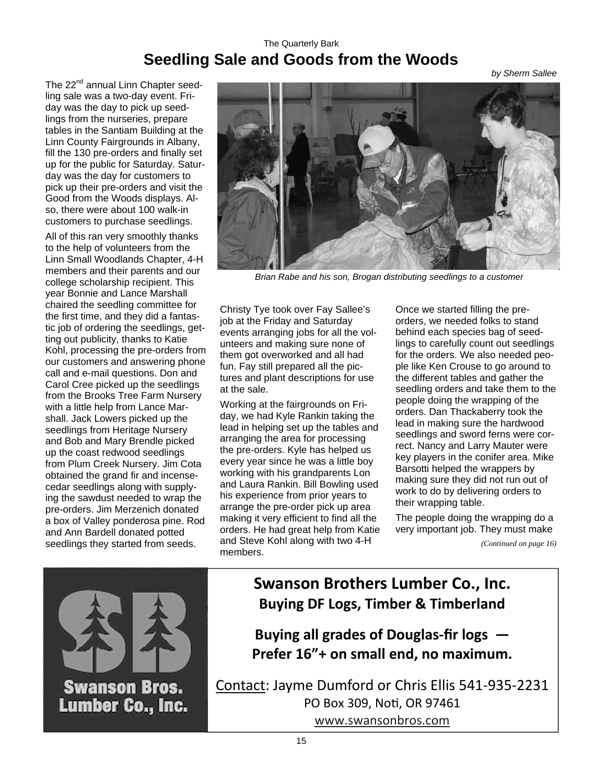### The Quarterly Bark **Seedling Sale and Goods from the Woods**

*by Sherm Sallee* 

The 22<sup>nd</sup> annual Linn Chapter seedling sale was a two-day event. Friday was the day to pick up seedlings from the nurseries, prepare tables in the Santiam Building at the Linn County Fairgrounds in Albany, fill the 130 pre-orders and finally set up for the public for Saturday. Saturday was the day for customers to pick up their pre-orders and visit the Good from the Woods displays. Also, there were about 100 walk-in customers to purchase seedlings.

All of this ran very smoothly thanks to the help of volunteers from the Linn Small Woodlands Chapter, 4-H members and their parents and our college scholarship recipient. This year Bonnie and Lance Marshall chaired the seedling committee for the first time, and they did a fantastic job of ordering the seedlings, getting out publicity, thanks to Katie Kohl, processing the pre-orders from our customers and answering phone call and e-mail questions. Don and Carol Cree picked up the seedlings from the Brooks Tree Farm Nursery with a little help from Lance Marshall. Jack Lowers picked up the seedlings from Heritage Nursery and Bob and Mary Brendle picked up the coast redwood seedlings from Plum Creek Nursery. Jim Cota obtained the grand fir and incensecedar seedlings along with supplying the sawdust needed to wrap the pre-orders. Jim Merzenich donated a box of Valley ponderosa pine. Rod and Ann Bardell donated potted seedlings they started from seeds.



*Brian Rabe and his son, Brogan distributing seedlings to a customer*

Christy Tye took over Fay Sallee's job at the Friday and Saturday events arranging jobs for all the volunteers and making sure none of them got overworked and all had fun. Fay still prepared all the pictures and plant descriptions for use at the sale.

Working at the fairgrounds on Friday, we had Kyle Rankin taking the lead in helping set up the tables and arranging the area for processing the pre-orders. Kyle has helped us every year since he was a little boy working with his grandparents Lon and Laura Rankin. Bill Bowling used his experience from prior years to arrange the pre-order pick up area making it very efficient to find all the orders. He had great help from Katie and Steve Kohl along with two 4-H members.

Once we started filling the preorders, we needed folks to stand behind each species bag of seedlings to carefully count out seedlings for the orders. We also needed people like Ken Crouse to go around to the different tables and gather the seedling orders and take them to the people doing the wrapping of the orders. Dan Thackaberry took the lead in making sure the hardwood seedlings and sword ferns were correct. Nancy and Larry Mauter were key players in the conifer area. Mike Barsotti helped the wrappers by making sure they did not run out of work to do by delivering orders to their wrapping table.

The people doing the wrapping do a very important job. They must make

*(Continued on page 16)* 



**Swanson Brothers Lumber Co., Inc. Buying DF Logs, Timber & Timberland**

**Buying all grades of Douglas‐fir logs — Prefer 16"+ on small end, no maximum.**

Contact: Jayme Dumford or Chris Ellis 541‐935‐2231 PO Box 309, NoƟ, OR 97461 [www.swansonbros.com](http://www.swansonbros.com)